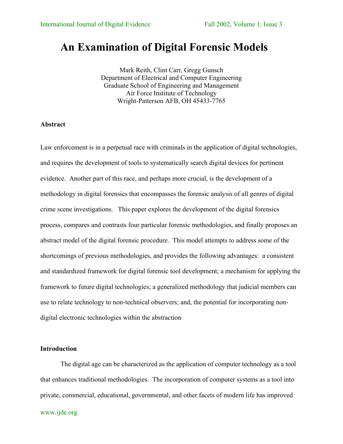# **An Examination of Digital Forensic Models**

Mark Reith, Clint Carr, Gregg Gunsch Department of Electrical and Computer Engineering Graduate School of Engineering and Management Air Force Institute of Technology Wright-Patterson AFB, OH 45433-7765

### **Abstract**

Law enforcement is in a perpetual race with criminals in the application of digital technologies, and requires the development of tools to systematically search digital devices for pertinent evidence. Another part of this race, and perhaps more crucial, is the development of a methodology in digital forensics that encompasses the forensic analysis of all genres of digital crime scene investigations. This paper explores the development of the digital forensics process, compares and contrasts four particular forensic methodologies, and finally proposes an abstract model of the digital forensic procedure. This model attempts to address some of the shortcomings of previous methodologies, and provides the following advantages: a consistent and standardized framework for digital forensic tool development; a mechanism for applying the framework to future digital technologies; a generalized methodology that judicial members can use to relate technology to non-technical observers; and, the potential for incorporating nondigital electronic technologies within the abstraction

# **Introduction**

The digital age can be characterized as the application of computer technology as a tool that enhances traditional methodologies. The incorporation of computer systems as a tool into private, commercial, educational, governmental, and other facets of modern life has improved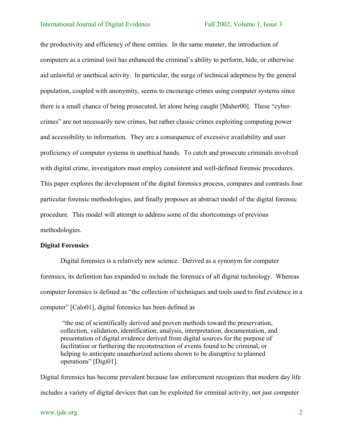the productivity and efficiency of these entities. In the same manner, the introduction of computers as a criminal tool has enhanced the criminal's ability to perform, hide, or otherwise aid unlawful or unethical activity. In particular, the surge of technical adeptness by the general population, coupled with anonymity, seems to encourage crimes using computer systems since there is a small chance of being prosecuted, let alone being caught [Maher00]. These "cybercrimes" are not necessarily new crimes, but rather classic crimes exploiting computing power and accessibility to information. They are a consequence of excessive availability and user proficiency of computer systems in unethical hands. To catch and prosecute criminals involved with digital crime, investigators must employ consistent and well-defined forensic procedures. This paper explores the development of the digital forensics process, compares and contrasts four particular forensic methodologies, and finally proposes an abstract model of the digital forensic procedure. This model will attempt to address some of the shortcomings of previous methodologies.

### **Digital Forensics**

Digital forensics is a relatively new science. Derived as a synonym for computer forensics, its definition has expanded to include the forensics of all digital technology. Whereas computer forensics is defined as "the collection of techniques and tools used to find evidence in a computer" [Calo01], digital forensics has been defined as

 "the use of scientifically derived and proven methods toward the preservation, collection, validation, identification, analysis, interpretation, documentation, and presentation of digital evidence derived from digital sources for the purpose of facilitation or furthering the reconstruction of events found to be criminal, or helping to anticipate unauthorized actions shown to be disruptive to planned operations" [Digi01].

Digital forensics has become prevalent because law enforcement recognizes that modern day life includes a variety of digital devices that can be exploited for criminal activity, not just computer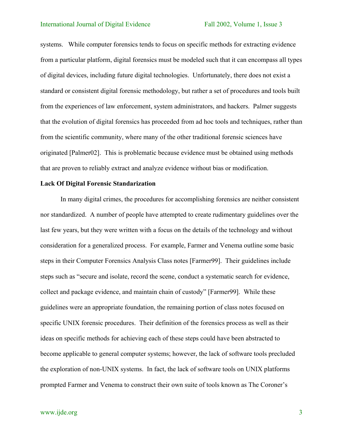systems. While computer forensics tends to focus on specific methods for extracting evidence from a particular platform, digital forensics must be modeled such that it can encompass all types of digital devices, including future digital technologies. Unfortunately, there does not exist a standard or consistent digital forensic methodology, but rather a set of procedures and tools built from the experiences of law enforcement, system administrators, and hackers. Palmer suggests that the evolution of digital forensics has proceeded from ad hoc tools and techniques, rather than from the scientific community, where many of the other traditional forensic sciences have originated [Palmer02]. This is problematic because evidence must be obtained using methods that are proven to reliably extract and analyze evidence without bias or modification.

### **Lack Of Digital Forensic Standarization**

In many digital crimes, the procedures for accomplishing forensics are neither consistent nor standardized. A number of people have attempted to create rudimentary guidelines over the last few years, but they were written with a focus on the details of the technology and without consideration for a generalized process. For example, Farmer and Venema outline some basic steps in their Computer Forensics Analysis Class notes [Farmer99]. Their guidelines include steps such as "secure and isolate, record the scene, conduct a systematic search for evidence, collect and package evidence, and maintain chain of custody" [Farmer99]. While these guidelines were an appropriate foundation, the remaining portion of class notes focused on specific UNIX forensic procedures. Their definition of the forensics process as well as their ideas on specific methods for achieving each of these steps could have been abstracted to become applicable to general computer systems; however, the lack of software tools precluded the exploration of non-UNIX systems. In fact, the lack of software tools on UNIX platforms prompted Farmer and Venema to construct their own suite of tools known as The Coroner's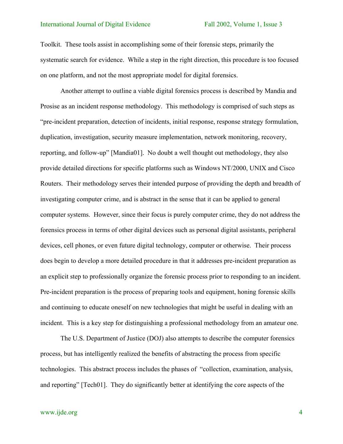Toolkit. These tools assist in accomplishing some of their forensic steps, primarily the systematic search for evidence. While a step in the right direction, this procedure is too focused on one platform, and not the most appropriate model for digital forensics.

Another attempt to outline a viable digital forensics process is described by Mandia and Prosise as an incident response methodology. This methodology is comprised of such steps as "pre-incident preparation, detection of incidents, initial response, response strategy formulation, duplication, investigation, security measure implementation, network monitoring, recovery, reporting, and follow-up" [Mandia01]. No doubt a well thought out methodology, they also provide detailed directions for specific platforms such as Windows NT/2000, UNIX and Cisco Routers. Their methodology serves their intended purpose of providing the depth and breadth of investigating computer crime, and is abstract in the sense that it can be applied to general computer systems. However, since their focus is purely computer crime, they do not address the forensics process in terms of other digital devices such as personal digital assistants, peripheral devices, cell phones, or even future digital technology, computer or otherwise. Their process does begin to develop a more detailed procedure in that it addresses pre-incident preparation as an explicit step to professionally organize the forensic process prior to responding to an incident. Pre-incident preparation is the process of preparing tools and equipment, honing forensic skills and continuing to educate oneself on new technologies that might be useful in dealing with an incident. This is a key step for distinguishing a professional methodology from an amateur one.

The U.S. Department of Justice (DOJ) also attempts to describe the computer forensics process, but has intelligently realized the benefits of abstracting the process from specific technologies. This abstract process includes the phases of "collection, examination, analysis, and reporting" [Tech01]. They do significantly better at identifying the core aspects of the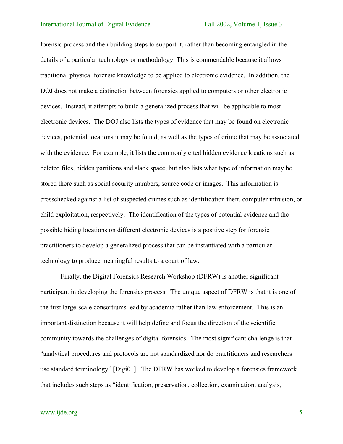forensic process and then building steps to support it, rather than becoming entangled in the details of a particular technology or methodology. This is commendable because it allows traditional physical forensic knowledge to be applied to electronic evidence. In addition, the DOJ does not make a distinction between forensics applied to computers or other electronic devices. Instead, it attempts to build a generalized process that will be applicable to most electronic devices. The DOJ also lists the types of evidence that may be found on electronic devices, potential locations it may be found, as well as the types of crime that may be associated with the evidence. For example, it lists the commonly cited hidden evidence locations such as deleted files, hidden partitions and slack space, but also lists what type of information may be stored there such as social security numbers, source code or images. This information is crosschecked against a list of suspected crimes such as identification theft, computer intrusion, or child exploitation, respectively. The identification of the types of potential evidence and the possible hiding locations on different electronic devices is a positive step for forensic practitioners to develop a generalized process that can be instantiated with a particular technology to produce meaningful results to a court of law.

Finally, the Digital Forensics Research Workshop (DFRW) is another significant participant in developing the forensics process. The unique aspect of DFRW is that it is one of the first large-scale consortiums lead by academia rather than law enforcement. This is an important distinction because it will help define and focus the direction of the scientific community towards the challenges of digital forensics. The most significant challenge is that "analytical procedures and protocols are not standardized nor do practitioners and researchers use standard terminology" [Digi01]. The DFRW has worked to develop a forensics framework that includes such steps as "identification, preservation, collection, examination, analysis,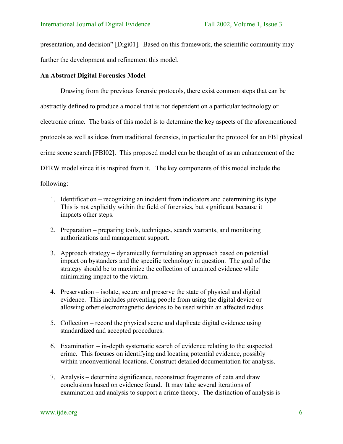presentation, and decision" [Digi01]. Based on this framework, the scientific community may further the development and refinement this model.

# **An Abstract Digital Forensics Model**

Drawing from the previous forensic protocols, there exist common steps that can be abstractly defined to produce a model that is not dependent on a particular technology or electronic crime. The basis of this model is to determine the key aspects of the aforementioned protocols as well as ideas from traditional forensics, in particular the protocol for an FBI physical crime scene search [FBI02]. This proposed model can be thought of as an enhancement of the DFRW model since it is inspired from it. The key components of this model include the following:

- 1. Identification recognizing an incident from indicators and determining its type. This is not explicitly within the field of forensics, but significant because it impacts other steps.
- 2. Preparation preparing tools, techniques, search warrants, and monitoring authorizations and management support.
- 3. Approach strategy dynamically formulating an approach based on potential impact on bystanders and the specific technology in question. The goal of the strategy should be to maximize the collection of untainted evidence while minimizing impact to the victim.
- 4. Preservation isolate, secure and preserve the state of physical and digital evidence. This includes preventing people from using the digital device or allowing other electromagnetic devices to be used within an affected radius.
- 5. Collection record the physical scene and duplicate digital evidence using standardized and accepted procedures.
- 6. Examination in-depth systematic search of evidence relating to the suspected crime. This focuses on identifying and locating potential evidence, possibly within unconventional locations. Construct detailed documentation for analysis.
- 7. Analysis determine significance, reconstruct fragments of data and draw conclusions based on evidence found. It may take several iterations of examination and analysis to support a crime theory. The distinction of analysis is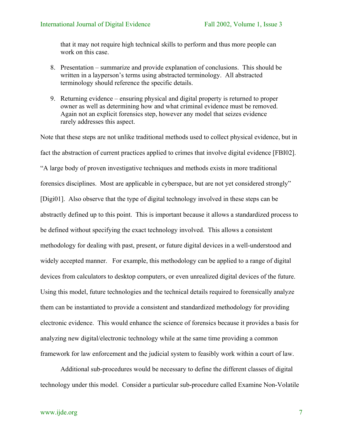that it may not require high technical skills to perform and thus more people can work on this case.

- 8. Presentation summarize and provide explanation of conclusions. This should be written in a layperson's terms using abstracted terminology. All abstracted terminology should reference the specific details.
- 9. Returning evidence ensuring physical and digital property is returned to proper owner as well as determining how and what criminal evidence must be removed. Again not an explicit forensics step, however any model that seizes evidence rarely addresses this aspect.

Note that these steps are not unlike traditional methods used to collect physical evidence, but in fact the abstraction of current practices applied to crimes that involve digital evidence [FBI02]. "A large body of proven investigative techniques and methods exists in more traditional forensics disciplines. Most are applicable in cyberspace, but are not yet considered strongly" [Digi01]. Also observe that the type of digital technology involved in these steps can be abstractly defined up to this point. This is important because it allows a standardized process to be defined without specifying the exact technology involved. This allows a consistent methodology for dealing with past, present, or future digital devices in a well-understood and widely accepted manner. For example, this methodology can be applied to a range of digital devices from calculators to desktop computers, or even unrealized digital devices of the future. Using this model, future technologies and the technical details required to forensically analyze them can be instantiated to provide a consistent and standardized methodology for providing electronic evidence. This would enhance the science of forensics because it provides a basis for analyzing new digital/electronic technology while at the same time providing a common framework for law enforcement and the judicial system to feasibly work within a court of law.

Additional sub-procedures would be necessary to define the different classes of digital technology under this model. Consider a particular sub-procedure called Examine Non-Volatile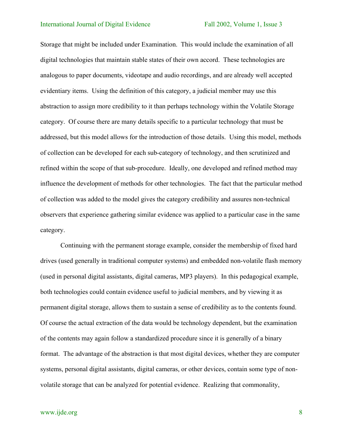Storage that might be included under Examination. This would include the examination of all digital technologies that maintain stable states of their own accord. These technologies are analogous to paper documents, videotape and audio recordings, and are already well accepted evidentiary items. Using the definition of this category, a judicial member may use this abstraction to assign more credibility to it than perhaps technology within the Volatile Storage category. Of course there are many details specific to a particular technology that must be addressed, but this model allows for the introduction of those details. Using this model, methods of collection can be developed for each sub-category of technology, and then scrutinized and refined within the scope of that sub-procedure. Ideally, one developed and refined method may influence the development of methods for other technologies. The fact that the particular method of collection was added to the model gives the category credibility and assures non-technical observers that experience gathering similar evidence was applied to a particular case in the same category.

Continuing with the permanent storage example, consider the membership of fixed hard drives (used generally in traditional computer systems) and embedded non-volatile flash memory (used in personal digital assistants, digital cameras, MP3 players). In this pedagogical example, both technologies could contain evidence useful to judicial members, and by viewing it as permanent digital storage, allows them to sustain a sense of credibility as to the contents found. Of course the actual extraction of the data would be technology dependent, but the examination of the contents may again follow a standardized procedure since it is generally of a binary format. The advantage of the abstraction is that most digital devices, whether they are computer systems, personal digital assistants, digital cameras, or other devices, contain some type of nonvolatile storage that can be analyzed for potential evidence. Realizing that commonality,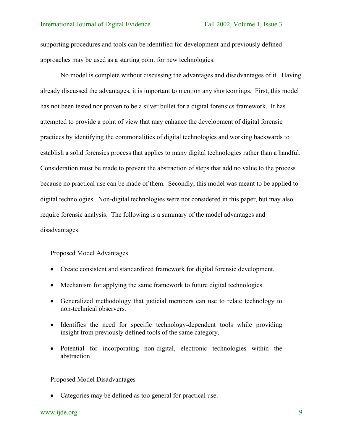supporting procedures and tools can be identified for development and previously defined approaches may be used as a starting point for new technologies.

No model is complete without discussing the advantages and disadvantages of it. Having already discussed the advantages, it is important to mention any shortcomings. First, this model has not been tested nor proven to be a silver bullet for a digital forensics framework. It has attempted to provide a point of view that may enhance the development of digital forensic practices by identifying the commonalities of digital technologies and working backwards to establish a solid forensics process that applies to many digital technologies rather than a handful. Consideration must be made to prevent the abstraction of steps that add no value to the process because no practical use can be made of them. Secondly, this model was meant to be applied to digital technologies. Non-digital technologies were not considered in this paper, but may also require forensic analysis. The following is a summary of the model advantages and disadvantages:

### Proposed Model Advantages

- Create consistent and standardized framework for digital forensic development.
- Mechanism for applying the same framework to future digital technologies.
- Generalized methodology that judicial members can use to relate technology to non-technical observers.
- Identifies the need for specific technology-dependent tools while providing insight from previously defined tools of the same category.
- Potential for incorporating non-digital, electronic technologies within the abstraction

### Proposed Model Disadvantages

• Categories may be defined as too general for practical use.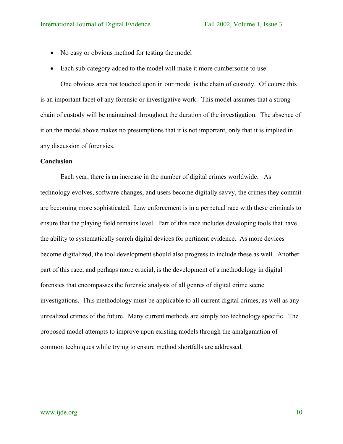- No easy or obvious method for testing the model
- Each sub-category added to the model will make it more cumbersome to use.

One obvious area not touched upon in our model is the chain of custody. Of course this is an important facet of any forensic or investigative work. This model assumes that a strong chain of custody will be maintained throughout the duration of the investigation. The absence of it on the model above makes no presumptions that it is not important, only that it is implied in any discussion of forensics.

# **Conclusion**

Each year, there is an increase in the number of digital crimes worldwide. As technology evolves, software changes, and users become digitally savvy, the crimes they commit are becoming more sophisticated. Law enforcement is in a perpetual race with these criminals to ensure that the playing field remains level. Part of this race includes developing tools that have the ability to systematically search digital devices for pertinent evidence. As more devices become digitalized, the tool development should also progress to include these as well. Another part of this race, and perhaps more crucial, is the development of a methodology in digital forensics that encompasses the forensic analysis of all genres of digital crime scene investigations. This methodology must be applicable to all current digital crimes, as well as any unrealized crimes of the future. Many current methods are simply too technology specific. The proposed model attempts to improve upon existing models through the amalgamation of common techniques while trying to ensure method shortfalls are addressed.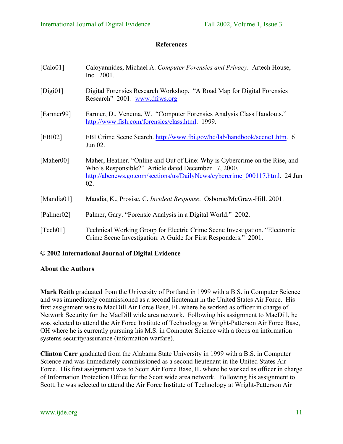# **References**

| [Calo01]   | Caloyannides, Michael A. Computer Forensics and Privacy. Artech House,<br>Inc. 2001.                                                                                                                                     |
|------------|--------------------------------------------------------------------------------------------------------------------------------------------------------------------------------------------------------------------------|
| [Digi01]   | Digital Forensics Research Workshop. "A Road Map for Digital Forensics<br>Research" 2001. www.dfrws.org                                                                                                                  |
| [Farmer99] | Farmer, D., Venema, W. "Computer Forensics Analysis Class Handouts."<br>http://www.fish.com/forensics/class.html. 1999.                                                                                                  |
| [FBI02]    | FBI Crime Scene Search. http://www.fbi.gov/hq/lab/handbook/scene1.htm. 6<br>Jun 02.                                                                                                                                      |
| [Maher00]  | Maher, Heather. "Online and Out of Line: Why is Cybercrime on the Rise, and<br>Who's Responsible?" Article dated December 17, 2000.<br>http://abcnews.go.com/sections/us/DailyNews/cybercrime 000117.html. 24 Jun<br>02. |
| [Mandia01] | Mandia, K., Prosise, C. Incident Response. Osborne/McGraw-Hill. 2001.                                                                                                                                                    |
| [Palmer02] | Palmer, Gary. "Forensic Analysis in a Digital World." 2002.                                                                                                                                                              |
| $Tech01$ ] | Technical Working Group for Electric Crime Scene Investigation. "Electronic<br>Crime Scene Investigation: A Guide for First Responders." 2001.                                                                           |

# **© 2002 International Journal of Digital Evidence**

# **About the Authors**

**Mark Reith** graduated from the University of Portland in 1999 with a B.S. in Computer Science and was immediately commissioned as a second lieutenant in the United States Air Force. His first assignment was to MacDill Air Force Base, FL where he worked as officer in charge of Network Security for the MacDill wide area network. Following his assignment to MacDill, he was selected to attend the Air Force Institute of Technology at Wright-Patterson Air Force Base, OH where he is currently pursuing his M.S. in Computer Science with a focus on information systems security/assurance (information warfare).

**Clinton Carr** graduated from the Alabama State University in 1999 with a B.S. in Computer Science and was immediately commissioned as a second lieutenant in the United States Air Force. His first assignment was to Scott Air Force Base, IL where he worked as officer in charge of Information Protection Office for the Scott wide area network. Following his assignment to Scott, he was selected to attend the Air Force Institute of Technology at Wright-Patterson Air